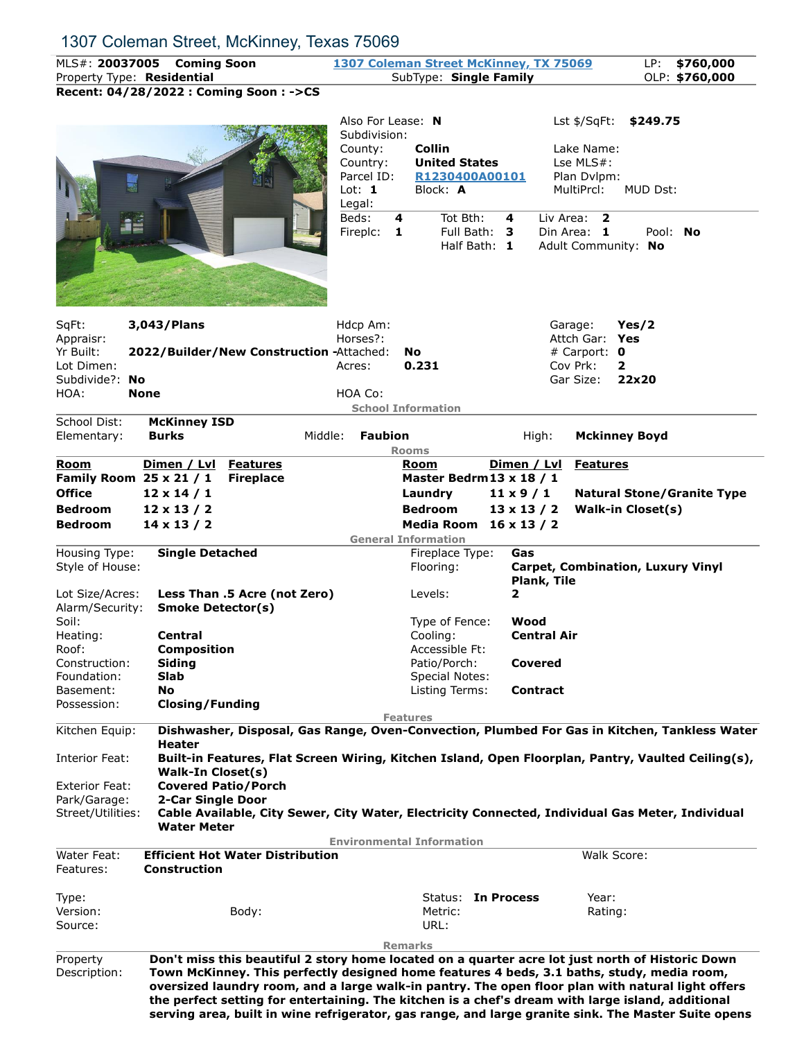## 1307 Coleman Street, McKinney, Texas 75069

MLS#: **20037005 Coming Soon 1307 Coleman Street McKinney, TX 75069** LP: **\$760,000** Property Type: **Residential** SubType: **Single Family** OLP: \$760,000

**Recent: 04/28/2022 : Coming Soon : ->CS**

|                                                                                                                                             | Recent: 04/28/2022 : Coming Soon : ->CS                                                                                                                                                                                                                                                                                                                                                                                                                               |                                                                                                                   |                                                                                                                                                             |                                                                                                         |                                                                                                                                                                  |  |  |
|---------------------------------------------------------------------------------------------------------------------------------------------|-----------------------------------------------------------------------------------------------------------------------------------------------------------------------------------------------------------------------------------------------------------------------------------------------------------------------------------------------------------------------------------------------------------------------------------------------------------------------|-------------------------------------------------------------------------------------------------------------------|-------------------------------------------------------------------------------------------------------------------------------------------------------------|---------------------------------------------------------------------------------------------------------|------------------------------------------------------------------------------------------------------------------------------------------------------------------|--|--|
|                                                                                                                                             |                                                                                                                                                                                                                                                                                                                                                                                                                                                                       | Also For Lease: N<br>Subdivision:<br>County:<br>Country:<br>Parcel ID:<br>Lot: $1$<br>Legal:<br>Beds:<br>Fireplc: | <b>Collin</b><br><b>United States</b><br>R1230400A00101<br>Block: A<br>Tot Bth:<br>4<br>1<br>Full Bath: 3<br>Half Bath: 1                                   | 4                                                                                                       | Lst \$/SqFt:<br>\$249.75<br>Lake Name:<br>Lse MLS#:<br>Plan Dvlpm:<br>MultiPrcl:<br>MUD Dst:<br>Liv Area:<br>2<br>Din Area: 1<br>Pool: No<br>Adult Community: No |  |  |
| SqFt:<br>Appraisr:<br>Yr Built:<br>Lot Dimen:<br>Subdivide?:<br>No<br>HOA:                                                                  | 3,043/Plans<br>2022/Builder/New Construction -Attached:<br><b>None</b>                                                                                                                                                                                                                                                                                                                                                                                                | Hdcp Am:<br>Horses?:<br>Acres:<br>HOA Co:                                                                         | <b>No</b><br>0.231<br><b>School Information</b>                                                                                                             |                                                                                                         | Yes/2<br>Garage:<br>Attch Gar:<br>Yes<br># Carport: $\mathbf 0$<br>Cov Prk:<br>2<br>Gar Size:<br>22x20                                                           |  |  |
| School Dist:<br>Elementary:                                                                                                                 | <b>McKinney ISD</b><br><b>Burks</b><br>Middle:                                                                                                                                                                                                                                                                                                                                                                                                                        | <b>Faubion</b>                                                                                                    | <b>Rooms</b>                                                                                                                                                | High:                                                                                                   | <b>Mckinney Boyd</b>                                                                                                                                             |  |  |
| Room<br>Family Room 25 x 21 / 1<br><b>Office</b><br><b>Bedroom</b><br><b>Bedroom</b><br>Housing Type:<br>Style of House:<br>Lot Size/Acres: | Dimen / Lvl<br><b>Features</b><br><b>Fireplace</b><br>$12 \times 14 / 1$<br>$12 \times 13 / 2$<br>$14 \times 13 / 2$<br><b>Single Detached</b><br>Less Than .5 Acre (not Zero)                                                                                                                                                                                                                                                                                        |                                                                                                                   | Room<br>Master Bedrm 13 x 18 / 1<br>Laundry<br><b>Bedroom</b><br><b>Media Room</b><br><b>General Information</b><br>Fireplace Type:<br>Flooring:<br>Levels: | Dimen / Lvl<br>$11 \times 9 / 1$<br>$13 \times 13 / 2$<br>$16 \times 13 / 2$<br>Gas<br>Plank, Tile<br>2 | <b>Features</b><br><b>Natural Stone/Granite Type</b><br><b>Walk-in Closet(s)</b><br><b>Carpet, Combination, Luxury Vinyl</b>                                     |  |  |
| Alarm/Security:<br>Soil:<br>Heating:<br>Roof:<br>Construction:<br>Foundation:<br>Basement:<br>Possession:                                   | <b>Smoke Detector(s)</b><br><b>Central</b><br><b>Composition</b><br><b>Siding</b><br>Slab<br>No<br><b>Closing/Funding</b>                                                                                                                                                                                                                                                                                                                                             |                                                                                                                   | Type of Fence:<br>Cooling:<br>Accessible Ft:<br>Patio/Porch:<br><b>Special Notes:</b><br>Listing Terms:                                                     | Wood<br><b>Central Air</b><br>Covered<br><b>Contract</b>                                                |                                                                                                                                                                  |  |  |
| Kitchen Equip:<br>Interior Feat:<br><b>Exterior Feat:</b><br>Park/Garage:<br>Street/Utilities:                                              | <b>Features</b><br>Dishwasher, Disposal, Gas Range, Oven-Convection, Plumbed For Gas in Kitchen, Tankless Water<br>Heater<br>Built-in Features, Flat Screen Wiring, Kitchen Island, Open Floorplan, Pantry, Vaulted Ceiling(s),<br>Walk-In Closet(s)<br><b>Covered Patio/Porch</b><br>2-Car Single Door<br>Cable Available, City Sewer, City Water, Electricity Connected, Individual Gas Meter, Individual<br><b>Water Meter</b><br><b>Environmental Information</b> |                                                                                                                   |                                                                                                                                                             |                                                                                                         |                                                                                                                                                                  |  |  |
| Water Feat:<br>Features:<br>Type:                                                                                                           | <b>Efficient Hot Water Distribution</b><br><b>Construction</b>                                                                                                                                                                                                                                                                                                                                                                                                        |                                                                                                                   | Status: In Process                                                                                                                                          |                                                                                                         | Walk Score:<br>Year:                                                                                                                                             |  |  |
| Version:<br>Source:                                                                                                                         | Body:                                                                                                                                                                                                                                                                                                                                                                                                                                                                 |                                                                                                                   | Metric:<br>URL:<br><b>Remarks</b>                                                                                                                           |                                                                                                         | Rating:                                                                                                                                                          |  |  |
| Property<br>Description:                                                                                                                    | Don't miss this beautiful 2 story home located on a quarter acre lot just north of Historic Down<br>Town McKinney. This perfectly designed home features 4 beds, 3.1 baths, study, media room,                                                                                                                                                                                                                                                                        |                                                                                                                   |                                                                                                                                                             |                                                                                                         | oversized laundry room, and a large walk-in pantry. The open floor plan with natural light offers                                                                |  |  |

**the perfect setting for entertaining. The kitchen is a chef's dream with large island, additional serving area, built in wine refrigerator, gas range, and large granite sink. The Master Suite opens**